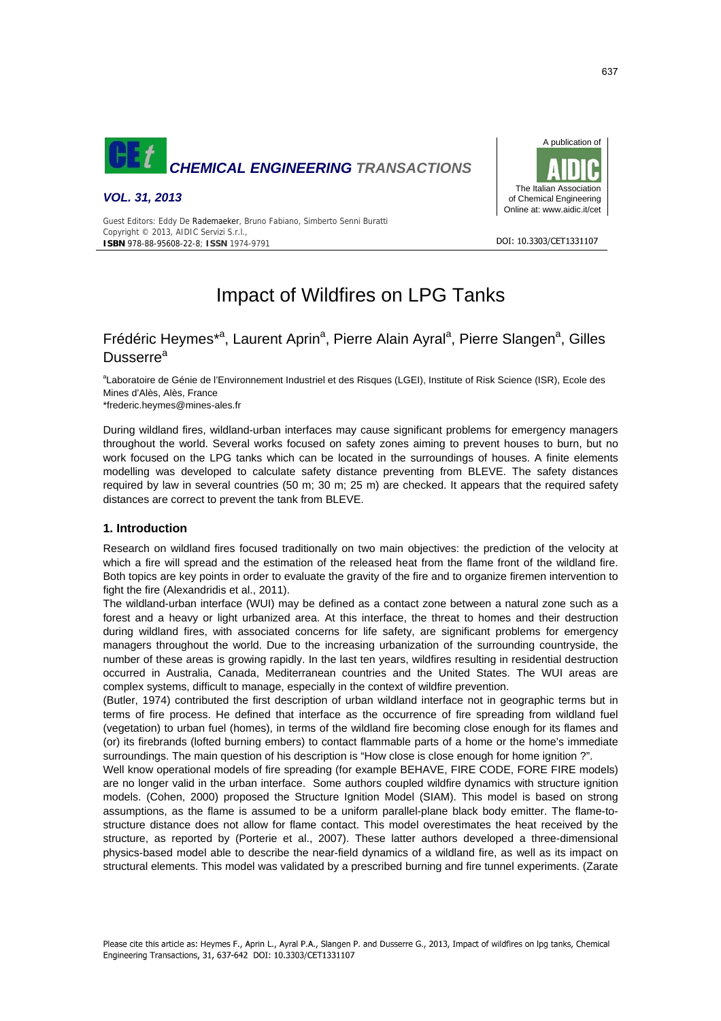





DOI: 10.3303/CFT1331107

Guest Editors: Eddy De Rademaeker, Bruno Fabiano, Simberto Senni Buratti Copyright © 2013, AIDIC Servizi S.r.l., **ISBN** 978-88-95608-22-8; **ISSN** 1974-9791

# Impact of Wildfires on LPG Tanks

# Frédéric Heymes\*<sup>a</sup>, Laurent Aprin<sup>a</sup>, Pierre Alain Ayral<sup>a</sup>, Pierre Slangen<sup>a</sup>, Gilles Dusserre<sup>a</sup>

<sup>a</sup>Laboratoire de Génie de l'Environnement Industriel et des Risques (LGEI), Institute of Risk Science (ISR), Ecole des Mines d'Alès, Alès, France

\*frederic.heymes@mines-ales.fr

During wildland fires, wildland-urban interfaces may cause significant problems for emergency managers throughout the world. Several works focused on safety zones aiming to prevent houses to burn, but no work focused on the LPG tanks which can be located in the surroundings of houses. A finite elements modelling was developed to calculate safety distance preventing from BLEVE. The safety distances required by law in several countries (50 m; 30 m; 25 m) are checked. It appears that the required safety distances are correct to prevent the tank from BLEVE.

# **1. Introduction**

Research on wildland fires focused traditionally on two main objectives: the prediction of the velocity at which a fire will spread and the estimation of the released heat from the flame front of the wildland fire. Both topics are key points in order to evaluate the gravity of the fire and to organize firemen intervention to fight the fire (Alexandridis et al., 2011).

The wildland-urban interface (WUI) may be defined as a contact zone between a natural zone such as a forest and a heavy or light urbanized area. At this interface, the threat to homes and their destruction during wildland fires, with associated concerns for life safety, are significant problems for emergency managers throughout the world. Due to the increasing urbanization of the surrounding countryside, the number of these areas is growing rapidly. In the last ten years, wildfires resulting in residential destruction occurred in Australia, Canada, Mediterranean countries and the United States. The WUI areas are complex systems, difficult to manage, especially in the context of wildfire prevention.

(Butler, 1974) contributed the first description of urban wildland interface not in geographic terms but in terms of fire process. He defined that interface as the occurrence of fire spreading from wildland fuel (vegetation) to urban fuel (homes), in terms of the wildland fire becoming close enough for its flames and (or) its firebrands (lofted burning embers) to contact flammable parts of a home or the home's immediate surroundings. The main question of his description is "How close is close enough for home ignition ?".

Well know operational models of fire spreading (for example BEHAVE, FIRE CODE, FORE FIRE models) are no longer valid in the urban interface. Some authors coupled wildfire dynamics with structure ignition models. (Cohen, 2000) proposed the Structure Ignition Model (SIAM). This model is based on strong assumptions, as the flame is assumed to be a uniform parallel-plane black body emitter. The flame-tostructure distance does not allow for flame contact. This model overestimates the heat received by the structure, as reported by (Porterie et al., 2007). These latter authors developed a three-dimensional physics-based model able to describe the near-field dynamics of a wildland fire, as well as its impact on structural elements. This model was validated by a prescribed burning and fire tunnel experiments. (Zarate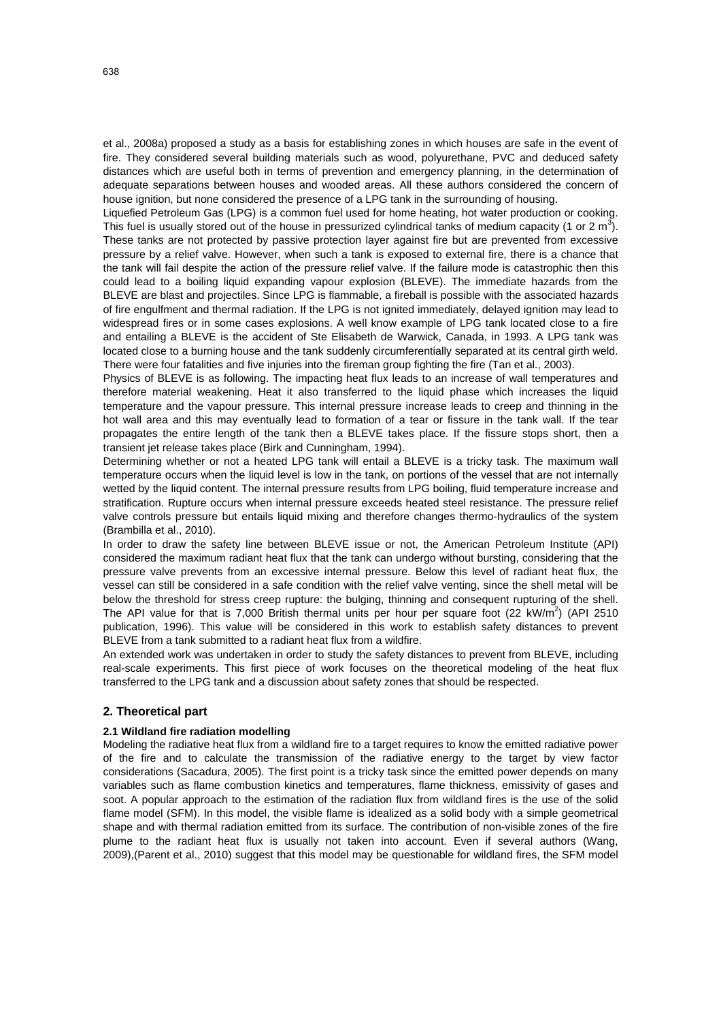et al., 2008a) proposed a study as a basis for establishing zones in which houses are safe in the event of fire. They considered several building materials such as wood, polyurethane, PVC and deduced safety distances which are useful both in terms of prevention and emergency planning, in the determination of adequate separations between houses and wooded areas. All these authors considered the concern of house ignition, but none considered the presence of a LPG tank in the surrounding of housing.

Liquefied Petroleum Gas (LPG) is a common fuel used for home heating, hot water production or cooking. This fuel is usually stored out of the house in pressurized cylindrical tanks of medium capacity (1 or 2 m<sup>3</sup>). These tanks are not protected by passive protection layer against fire but are prevented from excessive pressure by a relief valve. However, when such a tank is exposed to external fire, there is a chance that the tank will fail despite the action of the pressure relief valve. If the failure mode is catastrophic then this could lead to a boiling liquid expanding vapour explosion (BLEVE). The immediate hazards from the BLEVE are blast and projectiles. Since LPG is flammable, a fireball is possible with the associated hazards of fire engulfment and thermal radiation. If the LPG is not ignited immediately, delayed ignition may lead to widespread fires or in some cases explosions. A well know example of LPG tank located close to a fire and entailing a BLEVE is the accident of Ste Elisabeth de Warwick, Canada, in 1993. A LPG tank was located close to a burning house and the tank suddenly circumferentially separated at its central girth weld. There were four fatalities and five injuries into the fireman group fighting the fire (Tan et al., 2003).

Physics of BLEVE is as following. The impacting heat flux leads to an increase of wall temperatures and therefore material weakening. Heat it also transferred to the liquid phase which increases the liquid temperature and the vapour pressure. This internal pressure increase leads to creep and thinning in the hot wall area and this may eventually lead to formation of a tear or fissure in the tank wall. If the tear propagates the entire length of the tank then a BLEVE takes place. If the fissure stops short, then a transient jet release takes place (Birk and Cunningham, 1994).

Determining whether or not a heated LPG tank will entail a BLEVE is a tricky task. The maximum wall temperature occurs when the liquid level is low in the tank, on portions of the vessel that are not internally wetted by the liquid content. The internal pressure results from LPG boiling, fluid temperature increase and stratification. Rupture occurs when internal pressure exceeds heated steel resistance. The pressure relief valve controls pressure but entails liquid mixing and therefore changes thermo-hydraulics of the system (Brambilla et al., 2010).

In order to draw the safety line between BLEVE issue or not, the American Petroleum Institute (API) considered the maximum radiant heat flux that the tank can undergo without bursting, considering that the pressure valve prevents from an excessive internal pressure. Below this level of radiant heat flux, the vessel can still be considered in a safe condition with the relief valve venting, since the shell metal will be below the threshold for stress creep rupture: the bulging, thinning and consequent rupturing of the shell. The API value for that is 7,000 British thermal units per hour per square foot (22 kW/m<sup>2</sup>) (API 2510 publication, 1996). This value will be considered in this work to establish safety distances to prevent BLEVE from a tank submitted to a radiant heat flux from a wildfire.

An extended work was undertaken in order to study the safety distances to prevent from BLEVE, including real-scale experiments. This first piece of work focuses on the theoretical modeling of the heat flux transferred to the LPG tank and a discussion about safety zones that should be respected.

## **2. Theoretical part**

## **2.1 Wildland fire radiation modelling**

Modeling the radiative heat flux from a wildland fire to a target requires to know the emitted radiative power of the fire and to calculate the transmission of the radiative energy to the target by view factor considerations (Sacadura, 2005). The first point is a tricky task since the emitted power depends on many variables such as flame combustion kinetics and temperatures, flame thickness, emissivity of gases and soot. A popular approach to the estimation of the radiation flux from wildland fires is the use of the solid flame model (SFM). In this model, the visible flame is idealized as a solid body with a simple geometrical shape and with thermal radiation emitted from its surface. The contribution of non-visible zones of the fire plume to the radiant heat flux is usually not taken into account. Even if several authors (Wang, 2009),(Parent et al., 2010) suggest that this model may be questionable for wildland fires, the SFM model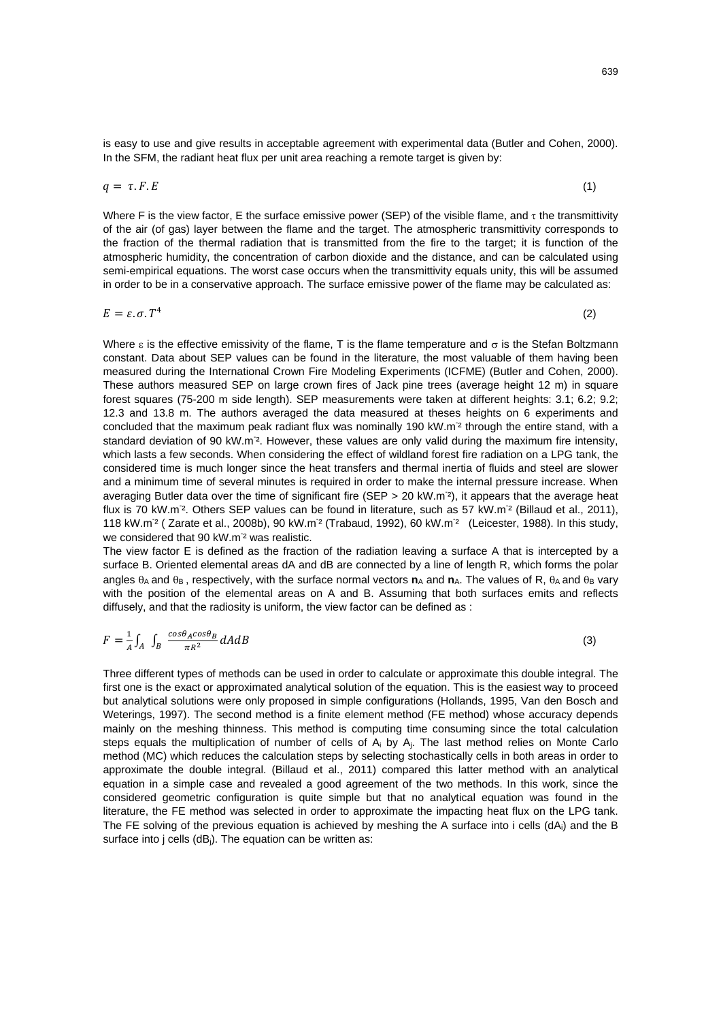is easy to use and give results in acceptable agreement with experimental data (Butler and Cohen, 2000). In the SFM, the radiant heat flux per unit area reaching a remote target is given by:

$$
q = \tau. F. E \tag{1}
$$

Where F is the view factor, E the surface emissive power (SEP) of the visible flame, and  $\tau$  the transmittivity of the air (of gas) layer between the flame and the target. The atmospheric transmittivity corresponds to the fraction of the thermal radiation that is transmitted from the fire to the target; it is function of the atmospheric humidity, the concentration of carbon dioxide and the distance, and can be calculated using semi-empirical equations. The worst case occurs when the transmittivity equals unity, this will be assumed in order to be in a conservative approach. The surface emissive power of the flame may be calculated as:

$$
E = \varepsilon \cdot \sigma \cdot T^4 \tag{2}
$$

Where  $\varepsilon$  is the effective emissivity of the flame, T is the flame temperature and  $\sigma$  is the Stefan Boltzmann constant. Data about SEP values can be found in the literature, the most valuable of them having been measured during the International Crown Fire Modeling Experiments (ICFME) (Butler and Cohen, 2000). These authors measured SEP on large crown fires of Jack pine trees (average height 12 m) in square forest squares (75-200 m side length). SEP measurements were taken at different heights: 3.1; 6.2; 9.2; 12.3 and 13.8 m. The authors averaged the data measured at theses heights on 6 experiments and concluded that the maximum peak radiant flux was nominally 190 kW.m<sup>2</sup> through the entire stand, with a standard deviation of 90 kW.m<sup>-2</sup>. However, these values are only valid during the maximum fire intensity, which lasts a few seconds. When considering the effect of wildland forest fire radiation on a LPG tank, the considered time is much longer since the heat transfers and thermal inertia of fluids and steel are slower and a minimum time of several minutes is required in order to make the internal pressure increase. When averaging Butler data over the time of significant fire (SEP > 20 kW.m<sup>-2</sup>), it appears that the average heat flux is 70 kW.m<sup>-2</sup>. Others SEP values can be found in literature, such as 57 kW.m<sup>-2</sup> (Billaud et al., 2011), 118 kW.m<sup>-2</sup> (Zarate et al., 2008b), 90 kW.m<sup>-2</sup> (Trabaud, 1992), 60 kW.m<sup>-2</sup> (Leicester, 1988). In this study, we considered that 90 kW.m<sup>-2</sup> was realistic.

The view factor E is defined as the fraction of the radiation leaving a surface A that is intercepted by a surface B. Oriented elemental areas dA and dB are connected by a line of length R, which forms the polar angles  $θ_A$  and  $θ_B$ , respectively, with the surface normal vectors **n**<sub>A</sub> and **n**<sub>A</sub>. The values of R,  $θ_A$  and  $θ_B$  vary with the position of the elemental areas on A and B. Assuming that both surfaces emits and reflects diffusely, and that the radiosity is uniform, the view factor can be defined as :

$$
F = \frac{1}{A} \int_{A} \int_{B} \frac{\cos \theta_{A} \cos \theta_{B}}{\pi R^{2}} dA dB
$$
\n(3)

Three different types of methods can be used in order to calculate or approximate this double integral. The first one is the exact or approximated analytical solution of the equation. This is the easiest way to proceed but analytical solutions were only proposed in simple configurations (Hollands, 1995, Van den Bosch and Weterings, 1997). The second method is a finite element method (FE method) whose accuracy depends mainly on the meshing thinness. This method is computing time consuming since the total calculation steps equals the multiplication of number of cells of A<sub>i</sub> by A<sub>i</sub>. The last method relies on Monte Carlo method (MC) which reduces the calculation steps by selecting stochastically cells in both areas in order to approximate the double integral. (Billaud et al., 2011) compared this latter method with an analytical equation in a simple case and revealed a good agreement of the two methods. In this work, since the considered geometric configuration is quite simple but that no analytical equation was found in the literature, the FE method was selected in order to approximate the impacting heat flux on the LPG tank. The FE solving of the previous equation is achieved by meshing the A surface into i cells  $(dA_i)$  and the B surface into j cells (dB<sub>i</sub>). The equation can be written as: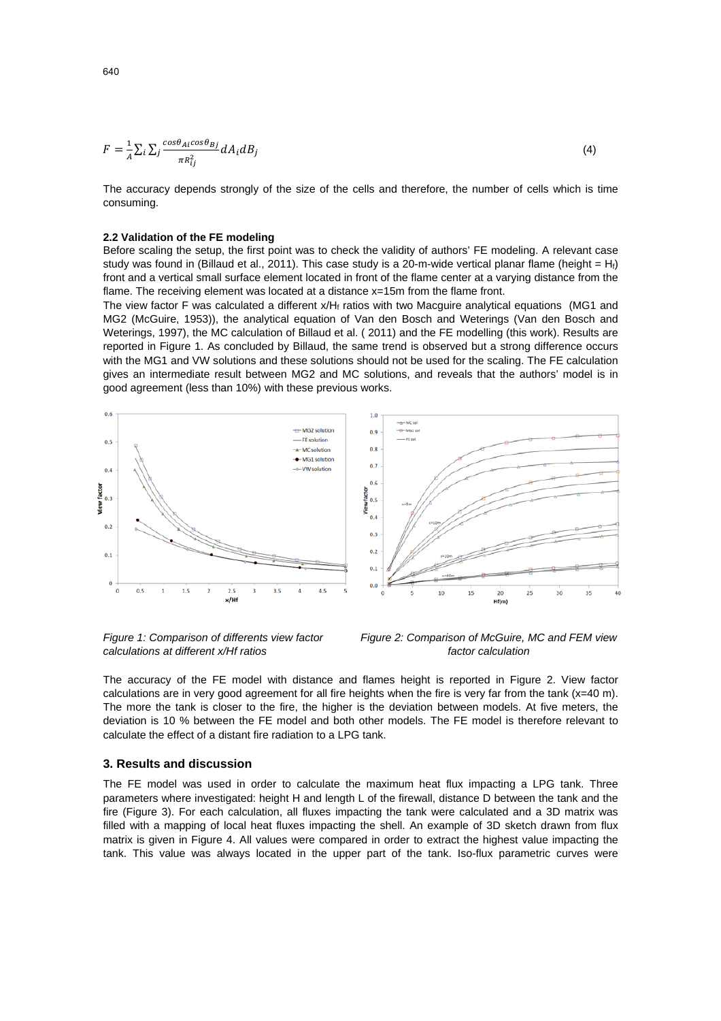$$
F = \frac{1}{A} \sum_{i} \sum_{j} \frac{\cos \theta_{Ai} \cos \theta_{Bj}}{\pi R_{ij}^2} dA_i dB_j
$$
\n<sup>(4)</sup>

The accuracy depends strongly of the size of the cells and therefore, the number of cells which is time consuming.

#### **2.2 Validation of the FE modeling**

Before scaling the setup, the first point was to check the validity of authors' FE modeling. A relevant case study was found in (Billaud et al., 2011). This case study is a 20-m-wide vertical planar flame (height =  $H_i$ ) front and a vertical small surface element located in front of the flame center at a varying distance from the flame. The receiving element was located at a distance x=15m from the flame front.

The view factor F was calculated a different x/Hf ratios with two Macquire analytical equations (MG1 and MG2 (McGuire, 1953)), the analytical equation of Van den Bosch and Weterings (Van den Bosch and Weterings, 1997), the MC calculation of Billaud et al. ( 2011) and the FE modelling (this work). Results are reported in Figure 1. As concluded by Billaud, the same trend is observed but a strong difference occurs with the MG1 and VW solutions and these solutions should not be used for the scaling. The FE calculation gives an intermediate result between MG2 and MC solutions, and reveals that the authors' model is in good agreement (less than 10%) with these previous works.







*Figure 2: Comparison of McGuire, MC and FEM view factor calculation* 

The accuracy of the FE model with distance and flames height is reported in Figure 2. View factor calculations are in very good agreement for all fire heights when the fire is very far from the tank (x=40 m). The more the tank is closer to the fire, the higher is the deviation between models. At five meters, the deviation is 10 % between the FE model and both other models. The FE model is therefore relevant to calculate the effect of a distant fire radiation to a LPG tank.

#### **3. Results and discussion**

The FE model was used in order to calculate the maximum heat flux impacting a LPG tank. Three parameters where investigated: height H and length L of the firewall, distance D between the tank and the fire (Figure 3). For each calculation, all fluxes impacting the tank were calculated and a 3D matrix was filled with a mapping of local heat fluxes impacting the shell. An example of 3D sketch drawn from flux matrix is given in Figure 4. All values were compared in order to extract the highest value impacting the tank. This value was always located in the upper part of the tank. Iso-flux parametric curves were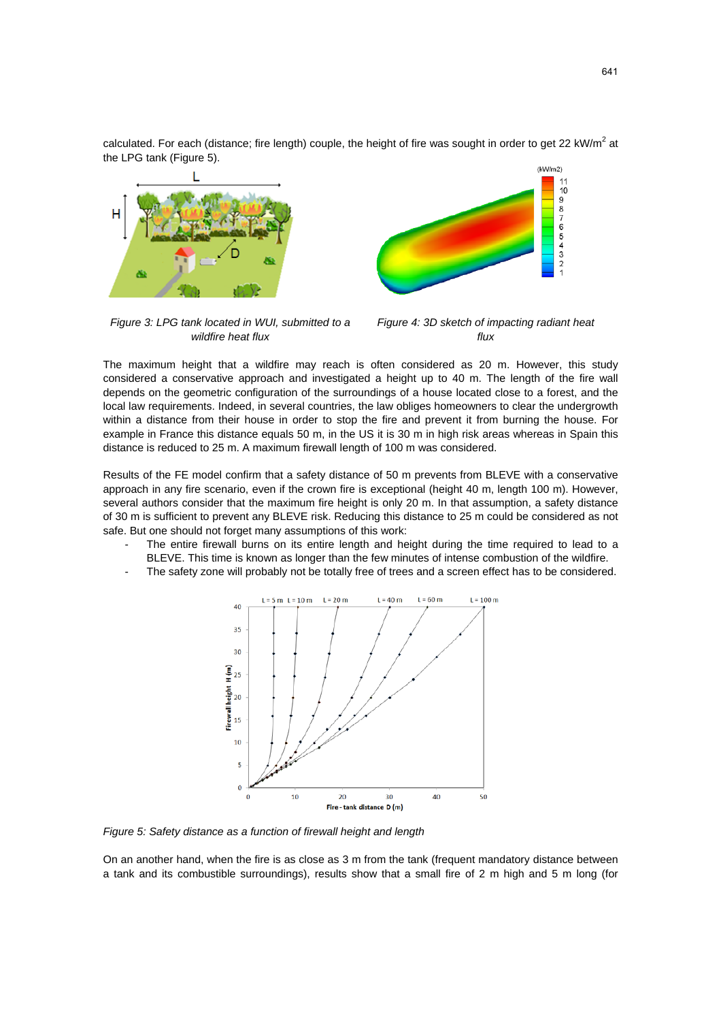calculated. For each (distance; fire length) couple, the height of fire was sought in order to get 22 kW/m<sup>2</sup> at the LPG tank (Figure 5).



*Figure 3: LPG tank located in WUI, submitted to a wildfire heat flux* 



The maximum height that a wildfire may reach is often considered as 20 m. However, this study considered a conservative approach and investigated a height up to 40 m. The length of the fire wall depends on the geometric configuration of the surroundings of a house located close to a forest, and the local law requirements. Indeed, in several countries, the law obliges homeowners to clear the undergrowth within a distance from their house in order to stop the fire and prevent it from burning the house. For example in France this distance equals 50 m, in the US it is 30 m in high risk areas whereas in Spain this distance is reduced to 25 m. A maximum firewall length of 100 m was considered.

Results of the FE model confirm that a safety distance of 50 m prevents from BLEVE with a conservative approach in any fire scenario, even if the crown fire is exceptional (height 40 m, length 100 m). However, several authors consider that the maximum fire height is only 20 m. In that assumption, a safety distance of 30 m is sufficient to prevent any BLEVE risk. Reducing this distance to 25 m could be considered as not safe. But one should not forget many assumptions of this work:

- The entire firewall burns on its entire length and height during the time required to lead to a BLEVE. This time is known as longer than the few minutes of intense combustion of the wildfire.
- The safety zone will probably not be totally free of trees and a screen effect has to be considered.



*Figure 5: Safety distance as a function of firewall height and length* 

On an another hand, when the fire is as close as 3 m from the tank (frequent mandatory distance between a tank and its combustible surroundings), results show that a small fire of 2 m high and 5 m long (for